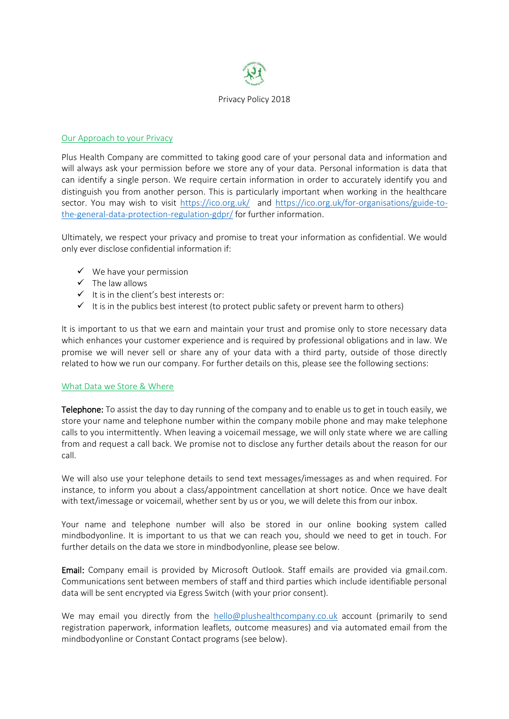

## Our Approach to your Privacy

Plus Health Company are committed to taking good care of your personal data and information and will always ask your permission before we store any of your data. Personal information is data that can identify a single person. We require certain information in order to accurately identify you and distinguish you from another person. This is particularly important when working in the healthcare sector. You may wish to visit <https://ico.org.uk/>and [https://ico.org.uk/for-organisations/guide-to](https://ico.org.uk/for-organisations/guide-to-the-general-data-protection-regulation-gdpr/)[the-general-data-protection-regulation-gdpr/](https://ico.org.uk/for-organisations/guide-to-the-general-data-protection-regulation-gdpr/) for further information.

Ultimately, we respect your privacy and promise to treat your information as confidential. We would only ever disclose confidential information if:

- $\checkmark$  We have your permission
- $\checkmark$  The law allows
- $\checkmark$  It is in the client's best interests or:
- $\checkmark$  It is in the publics best interest (to protect public safety or prevent harm to others)

It is important to us that we earn and maintain your trust and promise only to store necessary data which enhances your customer experience and is required by professional obligations and in law. We promise we will never sell or share any of your data with a third party, outside of those directly related to how we run our company. For further details on this, please see the following sections:

### What Data we Store & Where

Telephone: To assist the day to day running of the company and to enable us to get in touch easily, we store your name and telephone number within the company mobile phone and may make telephone calls to you intermittently. When leaving a voicemail message, we will only state where we are calling from and request a call back. We promise not to disclose any further details about the reason for our call.

We will also use your telephone details to send text messages/imessages as and when required. For instance, to inform you about a class/appointment cancellation at short notice. Once we have dealt with text/imessage or voicemail, whether sent by us or you, we will delete this from our inbox.

Your name and telephone number will also be stored in our online booking system called mindbodyonline. It is important to us that we can reach you, should we need to get in touch. For further details on the data we store in mindbodyonline, please see below.

**Email:** Company email is provided by Microsoft Outlook. Staff emails are provided via gmail.com. Communications sent between members of staff and third parties which include identifiable personal data will be sent encrypted via Egress Switch (with your prior consent).

We may email you directly from the [hello@plushealthcompany.co.uk](mailto:hello@plushealthcompany.co.uk) account (primarily to send registration paperwork, information leaflets, outcome measures) and via automated email from the mindbodyonline or Constant Contact programs (see below).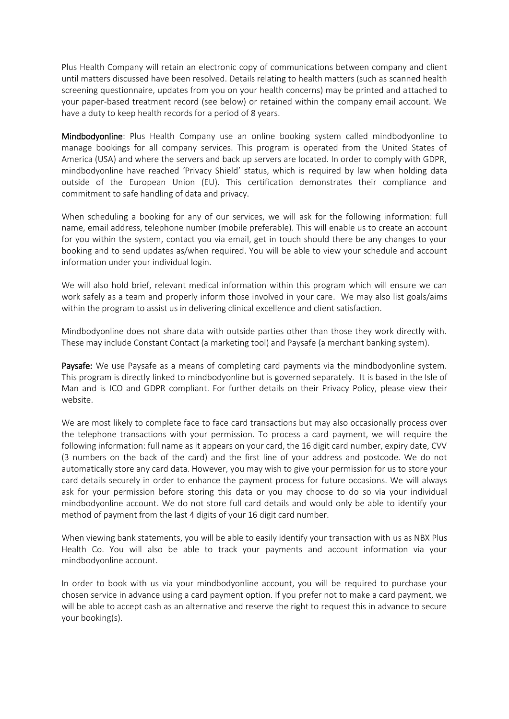Plus Health Company will retain an electronic copy of communications between company and client until matters discussed have been resolved. Details relating to health matters (such as scanned health screening questionnaire, updates from you on your health concerns) may be printed and attached to your paper-based treatment record (see below) or retained within the company email account. We have a duty to keep health records for a period of 8 years.

Mindbodyonline: Plus Health Company use an online booking system called mindbodyonline to manage bookings for all company services. This program is operated from the United States of America (USA) and where the servers and back up servers are located. In order to comply with GDPR, mindbodyonline have reached 'Privacy Shield' status, which is required by law when holding data outside of the European Union (EU). This certification demonstrates their compliance and commitment to safe handling of data and privacy.

When scheduling a booking for any of our services, we will ask for the following information: full name, email address, telephone number (mobile preferable). This will enable us to create an account for you within the system, contact you via email, get in touch should there be any changes to your booking and to send updates as/when required. You will be able to view your schedule and account information under your individual login.

We will also hold brief, relevant medical information within this program which will ensure we can work safely as a team and properly inform those involved in your care. We may also list goals/aims within the program to assist us in delivering clinical excellence and client satisfaction.

Mindbodyonline does not share data with outside parties other than those they work directly with. These may include Constant Contact (a marketing tool) and Paysafe (a merchant banking system).

Paysafe: We use Paysafe as a means of completing card payments via the mindbodyonline system. This program is directly linked to mindbodyonline but is governed separately. It is based in the Isle of Man and is ICO and GDPR compliant. For further details on their Privacy Policy, please view their website.

We are most likely to complete face to face card transactions but may also occasionally process over the telephone transactions with your permission. To process a card payment, we will require the following information: full name as it appears on your card, the 16 digit card number, expiry date, CVV (3 numbers on the back of the card) and the first line of your address and postcode. We do not automatically store any card data. However, you may wish to give your permission for us to store your card details securely in order to enhance the payment process for future occasions. We will always ask for your permission before storing this data or you may choose to do so via your individual mindbodyonline account. We do not store full card details and would only be able to identify your method of payment from the last 4 digits of your 16 digit card number.

When viewing bank statements, you will be able to easily identify your transaction with us as NBX Plus Health Co. You will also be able to track your payments and account information via your mindbodyonline account.

In order to book with us via your mindbodyonline account, you will be required to purchase your chosen service in advance using a card payment option. If you prefer not to make a card payment, we will be able to accept cash as an alternative and reserve the right to request this in advance to secure your booking(s).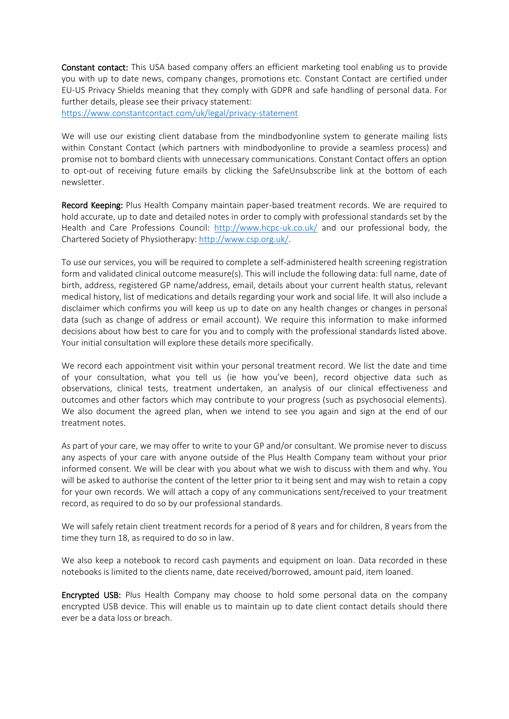Constant contact: This USA based company offers an efficient marketing tool enabling us to provide you with up to date news, company changes, promotions etc. Constant Contact are certified under EU-US Privacy Shields meaning that they comply with GDPR and safe handling of personal data. For further details, please see their privacy statement:

<https://www.constantcontact.com/uk/legal/privacy-statement>

We will use our existing client database from the mindbodyonline system to generate mailing lists within Constant Contact (which partners with mindbodyonline to provide a seamless process) and promise not to bombard clients with unnecessary communications. Constant Contact offers an option to opt-out of receiving future emails by clicking the SafeUnsubscribe link at the bottom of each newsletter.

Record Keeping: Plus Health Company maintain paper-based treatment records. We are required to hold accurate, up to date and detailed notes in order to comply with professional standards set by the Health and Care Professions Council: <http://www.hcpc-uk.co.uk/> and our professional body, the Chartered Society of Physiotherapy: [http://www.csp.org.uk/.](http://www.csp.org.uk/)

To use our services, you will be required to complete a self-administered health screening registration form and validated clinical outcome measure(s). This will include the following data: full name, date of birth, address, registered GP name/address, email, details about your current health status, relevant medical history, list of medications and details regarding your work and social life. It will also include a disclaimer which confirms you will keep us up to date on any health changes or changes in personal data (such as change of address or email account). We require this information to make informed decisions about how best to care for you and to comply with the professional standards listed above. Your initial consultation will explore these details more specifically.

We record each appointment visit within your personal treatment record. We list the date and time of your consultation, what you tell us (ie how you've been), record objective data such as observations, clinical tests, treatment undertaken, an analysis of our clinical effectiveness and outcomes and other factors which may contribute to your progress (such as psychosocial elements). We also document the agreed plan, when we intend to see you again and sign at the end of our treatment notes.

As part of your care, we may offer to write to your GP and/or consultant. We promise never to discuss any aspects of your care with anyone outside of the Plus Health Company team without your prior informed consent. We will be clear with you about what we wish to discuss with them and why. You will be asked to authorise the content of the letter prior to it being sent and may wish to retain a copy for your own records. We will attach a copy of any communications sent/received to your treatment record, as required to do so by our professional standards.

We will safely retain client treatment records for a period of 8 years and for children, 8 years from the time they turn 18, as required to do so in law.

We also keep a notebook to record cash payments and equipment on loan. Data recorded in these notebooks is limited to the clients name, date received/borrowed, amount paid, item loaned.

Encrypted USB: Plus Health Company may choose to hold some personal data on the company encrypted USB device. This will enable us to maintain up to date client contact details should there ever be a data loss or breach.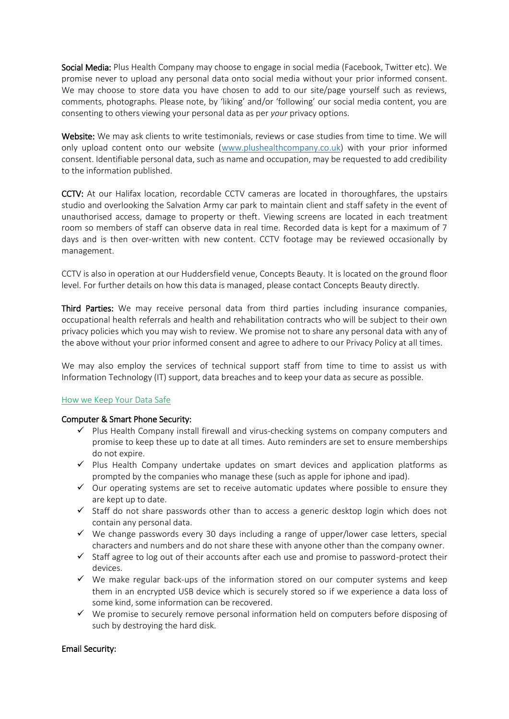Social Media: Plus Health Company may choose to engage in social media (Facebook, Twitter etc). We promise never to upload any personal data onto social media without your prior informed consent. We may choose to store data you have chosen to add to our site/page yourself such as reviews, comments, photographs. Please note, by 'liking' and/or 'following' our social media content, you are consenting to others viewing your personal data as per *your* privacy options.

Website: We may ask clients to write testimonials, reviews or case studies from time to time. We will only upload content onto our website [\(www.plushealthcompany.co.uk\)](http://www.plushealthcompany.co.uk/) with your prior informed consent. Identifiable personal data, such as name and occupation, may be requested to add credibility to the information published.

CCTV: At our Halifax location, recordable CCTV cameras are located in thoroughfares, the upstairs studio and overlooking the Salvation Army car park to maintain client and staff safety in the event of unauthorised access, damage to property or theft. Viewing screens are located in each treatment room so members of staff can observe data in real time. Recorded data is kept for a maximum of 7 days and is then over-written with new content. CCTV footage may be reviewed occasionally by management.

CCTV is also in operation at our Huddersfield venue, Concepts Beauty. It is located on the ground floor level. For further details on how this data is managed, please contact Concepts Beauty directly.

Third Parties: We may receive personal data from third parties including insurance companies, occupational health referrals and health and rehabilitation contracts who will be subject to their own privacy policies which you may wish to review. We promise not to share any personal data with any of the above without your prior informed consent and agree to adhere to our Privacy Policy at all times.

We may also employ the services of technical support staff from time to time to assist us with Information Technology (IT) support, data breaches and to keep your data as secure as possible.

### How we Keep Your Data Safe

### Computer & Smart Phone Security:

- $\checkmark$  Plus Health Company install firewall and virus-checking systems on company computers and promise to keep these up to date at all times. Auto reminders are set to ensure memberships do not expire.
- ✓ Plus Health Company undertake updates on smart devices and application platforms as prompted by the companies who manage these (such as apple for iphone and ipad).
- ✓ Our operating systems are set to receive automatic updates where possible to ensure they are kept up to date.
- ✓ Staff do not share passwords other than to access a generic desktop login which does not contain any personal data.
- $\checkmark$  We change passwords every 30 days including a range of upper/lower case letters, special characters and numbers and do not share these with anyone other than the company owner.
- $\checkmark$  Staff agree to log out of their accounts after each use and promise to password-protect their devices.
- $\checkmark$  We make regular back-ups of the information stored on our computer systems and keep them in an encrypted USB device which is securely stored so if we experience a data loss of some kind, some information can be recovered.
- $\checkmark$  We promise to securely remove personal information held on computers before disposing of such by destroying the hard disk.

### Email Security: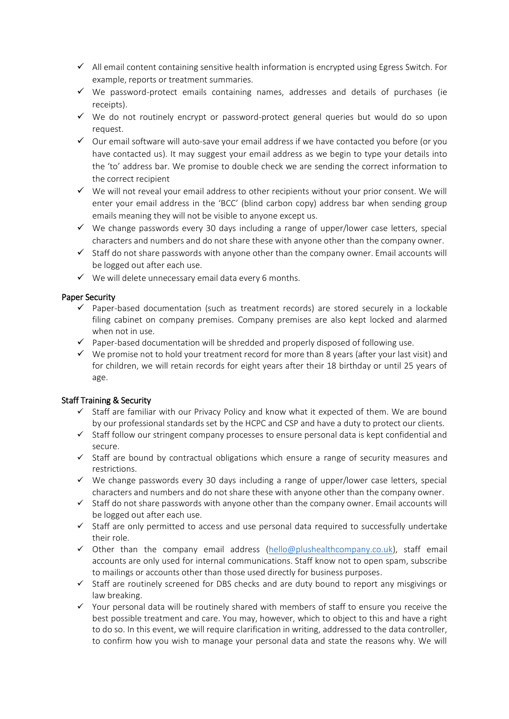- $\checkmark$  All email content containing sensitive health information is encrypted using Egress Switch. For example, reports or treatment summaries.
- ✓ We password-protect emails containing names, addresses and details of purchases (ie receipts).
- $\checkmark$  We do not routinely encrypt or password-protect general queries but would do so upon request.
- $\checkmark$  Our email software will auto-save your email address if we have contacted you before (or you have contacted us). It may suggest your email address as we begin to type your details into the 'to' address bar. We promise to double check we are sending the correct information to the correct recipient
- ✓ We will not reveal your email address to other recipients without your prior consent. We will enter your email address in the 'BCC' (blind carbon copy) address bar when sending group emails meaning they will not be visible to anyone except us.
- ✓ We change passwords every 30 days including a range of upper/lower case letters, special characters and numbers and do not share these with anyone other than the company owner.
- $\checkmark$  Staff do not share passwords with anyone other than the company owner. Email accounts will be logged out after each use.
- $\checkmark$  We will delete unnecessary email data every 6 months.

## Paper Security

- $\checkmark$  Paper-based documentation (such as treatment records) are stored securely in a lockable filing cabinet on company premises. Company premises are also kept locked and alarmed when not in use.
- $\checkmark$  Paper-based documentation will be shredded and properly disposed of following use.
- ✓ We promise not to hold your treatment record for more than 8 years (after your last visit) and for children, we will retain records for eight years after their 18 birthday or until 25 years of age.

# Staff Training & Security

- ✓ Staff are familiar with our Privacy Policy and know what it expected of them. We are bound by our professional standards set by the HCPC and CSP and have a duty to protect our clients.
- ✓ Staff follow our stringent company processes to ensure personal data is kept confidential and secure.
- ✓ Staff are bound by contractual obligations which ensure a range of security measures and restrictions.
- $\checkmark$  We change passwords every 30 days including a range of upper/lower case letters, special characters and numbers and do not share these with anyone other than the company owner.
- $\checkmark$  Staff do not share passwords with anyone other than the company owner. Email accounts will be logged out after each use.
- ✓ Staff are only permitted to access and use personal data required to successfully undertake their role.
- $\checkmark$  Other than the company email address [\(hello@plushealthcompany.co.uk\)](mailto:hello@plushealthcompany.co.uk), staff email accounts are only used for internal communications. Staff know not to open spam, subscribe to mailings or accounts other than those used directly for business purposes.
- ✓ Staff are routinely screened for DBS checks and are duty bound to report any misgivings or law breaking.
- ✓ Your personal data will be routinely shared with members of staff to ensure you receive the best possible treatment and care. You may, however, which to object to this and have a right to do so. In this event, we will require clarification in writing, addressed to the data controller, to confirm how you wish to manage your personal data and state the reasons why. We will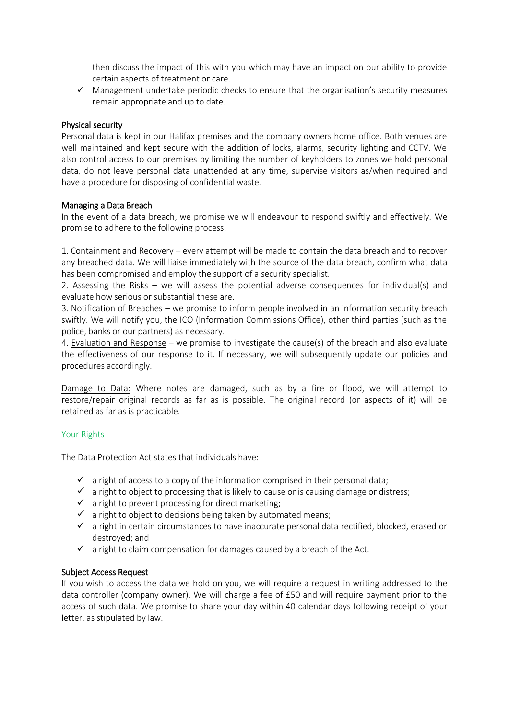then discuss the impact of this with you which may have an impact on our ability to provide certain aspects of treatment or care.

✓ Management undertake periodic checks to ensure that the organisation's security measures remain appropriate and up to date.

## Physical security

Personal data is kept in our Halifax premises and the company owners home office. Both venues are well maintained and kept secure with the addition of locks, alarms, security lighting and CCTV. We also control access to our premises by limiting the number of keyholders to zones we hold personal data, do not leave personal data unattended at any time, supervise visitors as/when required and have a procedure for disposing of confidential waste.

### Managing a Data Breach

In the event of a data breach, we promise we will endeavour to respond swiftly and effectively. We promise to adhere to the following process:

1. Containment and Recovery – every attempt will be made to contain the data breach and to recover any breached data. We will liaise immediately with the source of the data breach, confirm what data has been compromised and employ the support of a security specialist.

2. Assessing the Risks – we will assess the potential adverse consequences for individual(s) and evaluate how serious or substantial these are.

3. Notification of Breaches – we promise to inform people involved in an information security breach swiftly. We will notify you, the ICO (Information Commissions Office), other third parties (such as the police, banks or our partners) as necessary.

4. Evaluation and Response – we promise to investigate the cause(s) of the breach and also evaluate the effectiveness of our response to it. If necessary, we will subsequently update our policies and procedures accordingly.

Damage to Data: Where notes are damaged, such as by a fire or flood, we will attempt to restore/repair original records as far as is possible. The original record (or aspects of it) will be retained as far as is practicable.

### Your Rights

The Data Protection Act states that individuals have:

- $\checkmark$  a right of access to a copy of the information comprised in their personal data;
- $\checkmark$  a right to object to processing that is likely to cause or is causing damage or distress;
- $\checkmark$  a right to prevent processing for direct marketing;
- $\checkmark$  a right to object to decisions being taken by automated means;
- ✓ a right in certain circumstances to have inaccurate personal data rectified, blocked, erased or destroyed; and
- $\checkmark$  a right to claim compensation for damages caused by a breach of the Act.

### Subject Access Request

If you wish to access the data we hold on you, we will require a request in writing addressed to the data controller (company owner). We will charge a fee of £50 and will require payment prior to the access of such data. We promise to share your day within 40 calendar days following receipt of your letter, as stipulated by law.